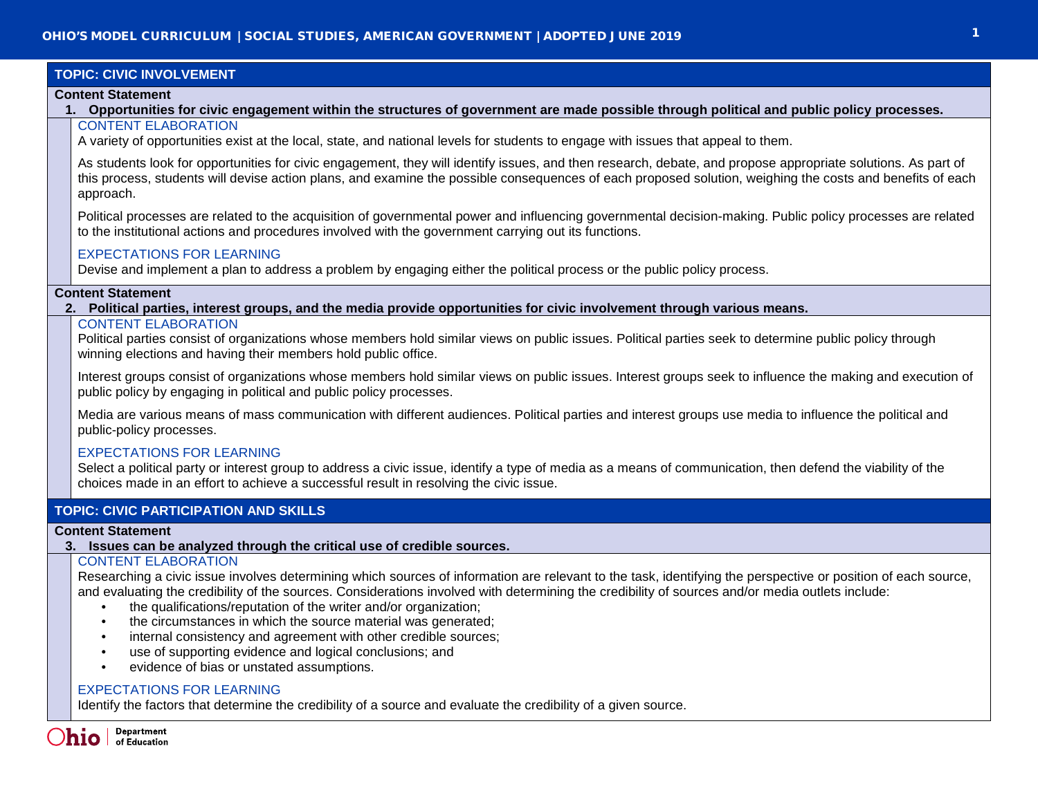# **TOPIC: CIVIC INVOLVEMENT**

#### **Content Statement**

**1. Opportunities for civic engagement within the structures of government are made possible through political and public policy processes.** CONTENT ELABORATION

A variety of opportunities exist at the local, state, and national levels for students to engage with issues that appeal to them.

As students look for opportunities for civic engagement, they will identify issues, and then research, debate, and propose appropriate solutions. As part of this process, students will devise action plans, and examine the possible consequences of each proposed solution, weighing the costs and benefits of each approach.

Political processes are related to the acquisition of governmental power and influencing governmental decision-making. Public policy processes are related to the institutional actions and procedures involved with the government carrying out its functions.

## EXPECTATIONS FOR LEARNING

Devise and implement a plan to address a problem by engaging either the political process or the public policy process.

## **Content Statement**

**2. Political parties, interest groups, and the media provide opportunities for civic involvement through various means.**

# CONTENT ELABORATION

Political parties consist of organizations whose members hold similar views on public issues. Political parties seek to determine public policy through winning elections and having their members hold public office.

Interest groups consist of organizations whose members hold similar views on public issues. Interest groups seek to influence the making and execution of public policy by engaging in political and public policy processes.

Media are various means of mass communication with different audiences. Political parties and interest groups use media to influence the political and public-policy processes.

## EXPECTATIONS FOR LEARNING

Select a political party or interest group to address a civic issue, identify a type of media as a means of communication, then defend the viability of the choices made in an effort to achieve a successful result in resolving the civic issue.

# **TOPIC: CIVIC PARTICIPATION AND SKILLS**

## **Content Statement**

**3. Issues can be analyzed through the critical use of credible sources.**

# CONTENT ELABORATION

Researching a civic issue involves determining which sources of information are relevant to the task, identifying the perspective or position of each source, and evaluating the credibility of the sources. Considerations involved with determining the credibility of sources and/or media outlets include:

- the qualifications/reputation of the writer and/or organization;
- the circumstances in which the source material was generated;
- internal consistency and agreement with other credible sources;
- use of supporting evidence and logical conclusions; and
- evidence of bias or unstated assumptions.

# EXPECTATIONS FOR LEARNING

Identify the factors that determine the credibility of a source and evaluate the credibility of a given source.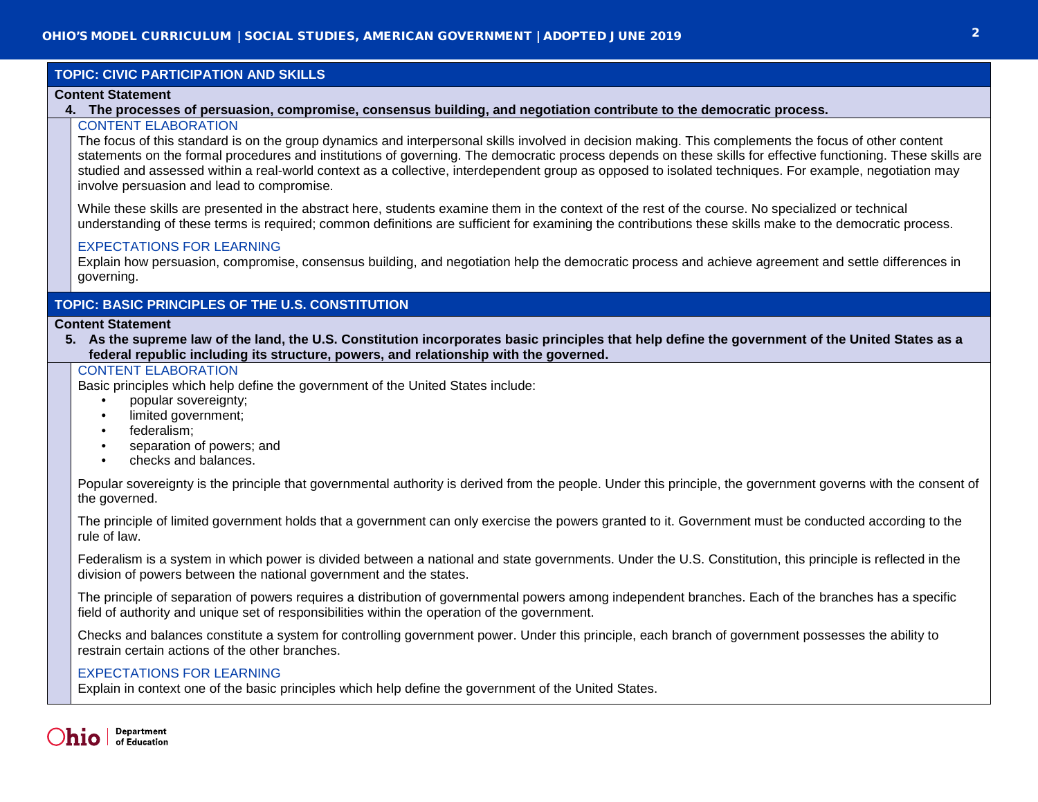# **TOPIC: CIVIC PARTICIPATION AND SKILLS**

#### **Content Statement**

## **4. The processes of persuasion, compromise, consensus building, and negotiation contribute to the democratic process.**

# CONTENT ELABORATION

The focus of this standard is on the group dynamics and interpersonal skills involved in decision making. This complements the focus of other content statements on the formal procedures and institutions of governing. The democratic process depends on these skills for effective functioning. These skills are studied and assessed within a real-world context as a collective, interdependent group as opposed to isolated techniques. For example, negotiation may involve persuasion and lead to compromise.

While these skills are presented in the abstract here, students examine them in the context of the rest of the course. No specialized or technical understanding of these terms is required; common definitions are sufficient for examining the contributions these skills make to the democratic process.

## EXPECTATIONS FOR LEARNING

Explain how persuasion, compromise, consensus building, and negotiation help the democratic process and achieve agreement and settle differences in governing.

# **TOPIC: BASIC PRINCIPLES OF THE U.S. CONSTITUTION**

#### **Content Statement**

**5. As the supreme law of the land, the U.S. Constitution incorporates basic principles that help define the government of the United States as a federal republic including its structure, powers, and relationship with the governed.**

# CONTENT ELABORATION

Basic principles which help define the government of the United States include:

- popular sovereignty;
- limited government;
- federalism;
- separation of powers; and
- checks and balances.

Popular sovereignty is the principle that governmental authority is derived from the people. Under this principle, the government governs with the consent of the governed.

The principle of limited government holds that a government can only exercise the powers granted to it. Government must be conducted according to the rule of law.

Federalism is a system in which power is divided between a national and state governments. Under the U.S. Constitution, this principle is reflected in the division of powers between the national government and the states.

The principle of separation of powers requires a distribution of governmental powers among independent branches. Each of the branches has a specific field of authority and unique set of responsibilities within the operation of the government.

Checks and balances constitute a system for controlling government power. Under this principle, each branch of government possesses the ability to restrain certain actions of the other branches.

# EXPECTATIONS FOR LEARNING

Explain in context one of the basic principles which help define the government of the United States.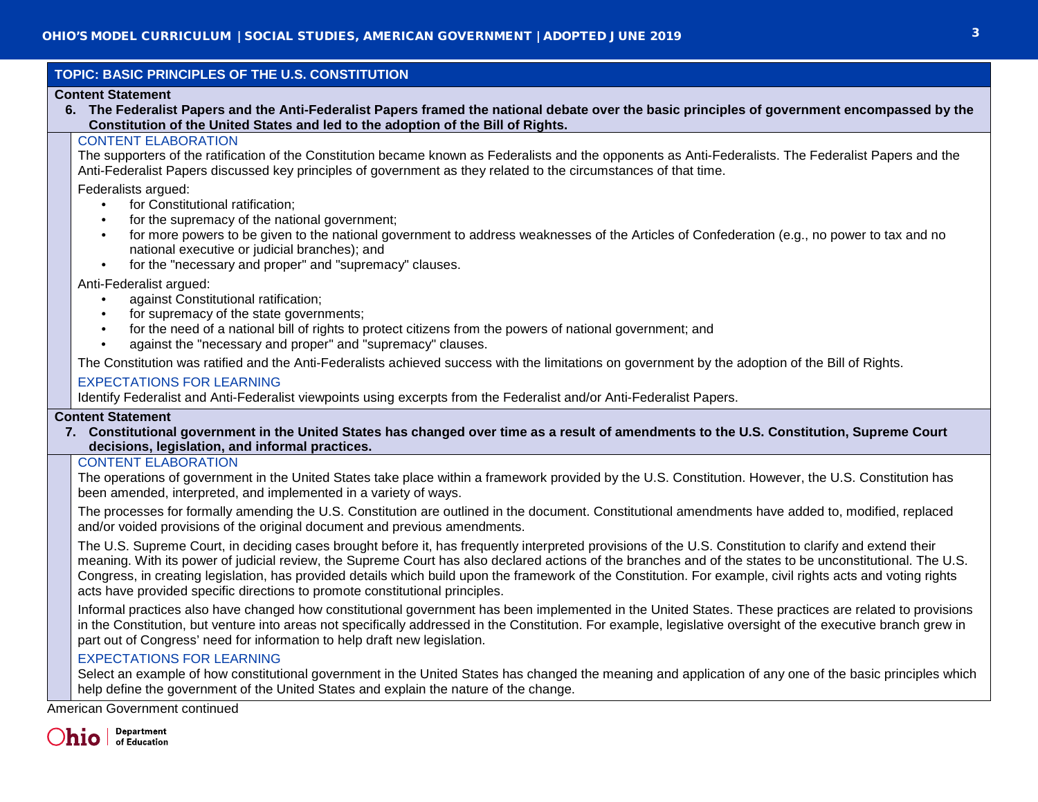|                                                                                                                                                                                                                                                               | TOPIC: BASIC PRINCIPLES OF THE U.S. CONSTITUTION                                                                                                                                                                                                                                                                                                                                                                                                                                                                                                                                                                                                                                                                                    |  |  |
|---------------------------------------------------------------------------------------------------------------------------------------------------------------------------------------------------------------------------------------------------------------|-------------------------------------------------------------------------------------------------------------------------------------------------------------------------------------------------------------------------------------------------------------------------------------------------------------------------------------------------------------------------------------------------------------------------------------------------------------------------------------------------------------------------------------------------------------------------------------------------------------------------------------------------------------------------------------------------------------------------------------|--|--|
| <b>Content Statement</b><br>6. The Federalist Papers and the Anti-Federalist Papers framed the national debate over the basic principles of government encompassed by the<br>Constitution of the United States and led to the adoption of the Bill of Rights. |                                                                                                                                                                                                                                                                                                                                                                                                                                                                                                                                                                                                                                                                                                                                     |  |  |
|                                                                                                                                                                                                                                                               | <b>CONTENT ELABORATION</b><br>The supporters of the ratification of the Constitution became known as Federalists and the opponents as Anti-Federalists. The Federalist Papers and the<br>Anti-Federalist Papers discussed key principles of government as they related to the circumstances of that time.<br>Federalists argued:<br>for Constitutional ratification;<br>$\bullet$<br>for the supremacy of the national government;<br>$\bullet$<br>for more powers to be given to the national government to address weaknesses of the Articles of Confederation (e.g., no power to tax and no<br>$\bullet$<br>national executive or judicial branches); and                                                                        |  |  |
|                                                                                                                                                                                                                                                               | for the "necessary and proper" and "supremacy" clauses.<br>$\bullet$<br>Anti-Federalist argued:<br>against Constitutional ratification;<br>$\bullet$<br>for supremacy of the state governments;<br>$\bullet$<br>for the need of a national bill of rights to protect citizens from the powers of national government; and<br>$\bullet$<br>against the "necessary and proper" and "supremacy" clauses.<br>$\bullet$<br>The Constitution was ratified and the Anti-Federalists achieved success with the limitations on government by the adoption of the Bill of Rights.<br><b>EXPECTATIONS FOR LEARNING</b><br>Identify Federalist and Anti-Federalist viewpoints using excerpts from the Federalist and/or Anti-Federalist Papers. |  |  |
| <b>Content Statement</b><br>7. Constitutional government in the United States has changed over time as a result of amendments to the U.S. Constitution, Supreme Court<br>decisions, legislation, and informal practices.                                      |                                                                                                                                                                                                                                                                                                                                                                                                                                                                                                                                                                                                                                                                                                                                     |  |  |
|                                                                                                                                                                                                                                                               | <b>CONTENT ELABORATION</b><br>The operations of government in the United States take place within a framework provided by the U.S. Constitution. However, the U.S. Constitution has<br>been amended, interpreted, and implemented in a variety of ways.<br>The processes for formally amending the U.S. Constitution are outlined in the document. Constitutional amendments have added to, modified, replaced                                                                                                                                                                                                                                                                                                                      |  |  |
|                                                                                                                                                                                                                                                               | and/or voided provisions of the original document and previous amendments.<br>The U.S. Supreme Court, in deciding cases brought before it, has frequently interpreted provisions of the U.S. Constitution to clarify and extend their<br>meaning. With its power of judicial review, the Supreme Court has also declared actions of the branches and of the states to be unconstitutional. The U.S.<br>Congress, in creating legislation, has provided details which build upon the framework of the Constitution. For example, civil rights acts and voting rights<br>acts have provided specific directions to promote constitutional principles.                                                                                 |  |  |
|                                                                                                                                                                                                                                                               | Informal practices also have changed how constitutional government has been implemented in the United States. These practices are related to provisions<br>in the Constitution, but venture into areas not specifically addressed in the Constitution. For example, legislative oversight of the executive branch grew in<br>part out of Congress' need for information to help draft new legislation.                                                                                                                                                                                                                                                                                                                              |  |  |
|                                                                                                                                                                                                                                                               | <b>EXPECTATIONS FOR LEARNING</b><br>Select an example of how constitutional government in the United States has changed the meaning and application of any one of the basic principles which                                                                                                                                                                                                                                                                                                                                                                                                                                                                                                                                        |  |  |

help define the government of the United States and explain the nature of the change.

American Government continued

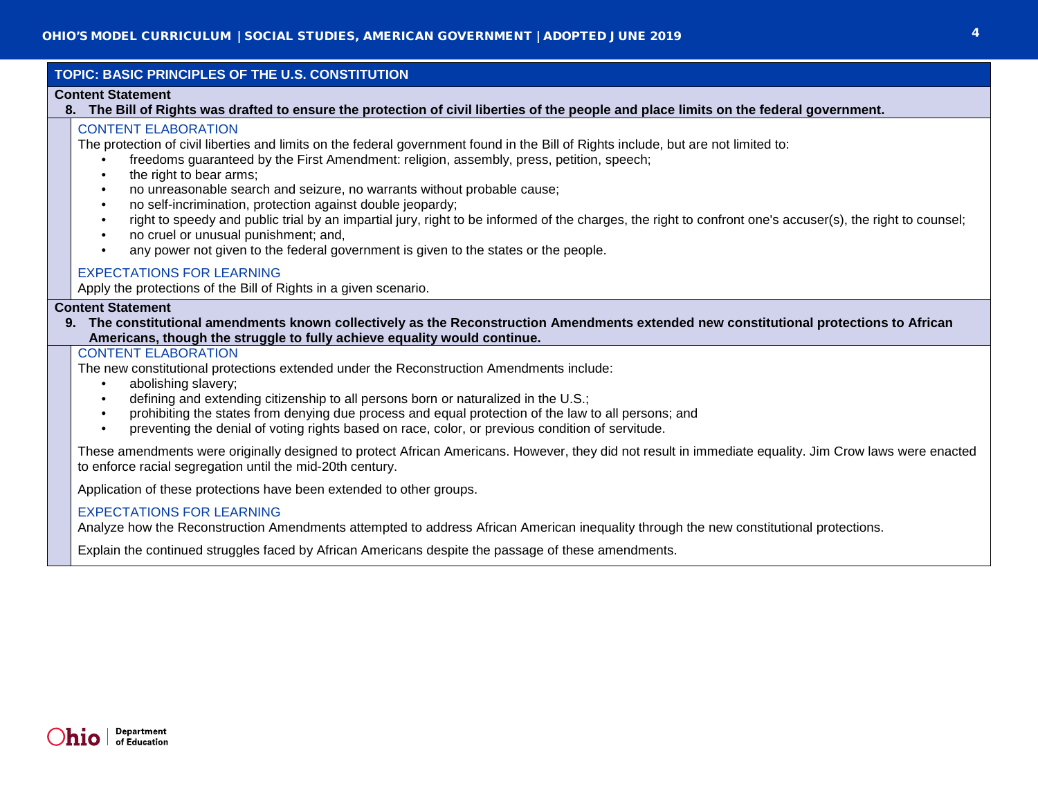|  | TOPIC: BASIC PRINCIPLES OF THE U.S. CONSTITUTION<br><b>Content Statement</b><br>8. The Bill of Rights was drafted to ensure the protection of civil liberties of the people and place limits on the federal government.                                                                                                                                                                                                                                                                                                                                                                                                                                                                                                                 |  |  |
|--|-----------------------------------------------------------------------------------------------------------------------------------------------------------------------------------------------------------------------------------------------------------------------------------------------------------------------------------------------------------------------------------------------------------------------------------------------------------------------------------------------------------------------------------------------------------------------------------------------------------------------------------------------------------------------------------------------------------------------------------------|--|--|
|  |                                                                                                                                                                                                                                                                                                                                                                                                                                                                                                                                                                                                                                                                                                                                         |  |  |
|  | <b>CONTENT ELABORATION</b><br>The protection of civil liberties and limits on the federal government found in the Bill of Rights include, but are not limited to:<br>freedoms guaranteed by the First Amendment: religion, assembly, press, petition, speech;<br>the right to bear arms;<br>٠<br>no unreasonable search and seizure, no warrants without probable cause;<br>no self-incrimination, protection against double jeopardy;<br>٠<br>right to speedy and public trial by an impartial jury, right to be informed of the charges, the right to confront one's accuser(s), the right to counsel;<br>no cruel or unusual punishment; and,<br>any power not given to the federal government is given to the states or the people. |  |  |
|  | <b>EXPECTATIONS FOR LEARNING</b><br>Apply the protections of the Bill of Rights in a given scenario.                                                                                                                                                                                                                                                                                                                                                                                                                                                                                                                                                                                                                                    |  |  |
|  | <b>Content Statement</b><br>9. The constitutional amendments known collectively as the Reconstruction Amendments extended new constitutional protections to African<br>Americans, though the struggle to fully achieve equality would continue.                                                                                                                                                                                                                                                                                                                                                                                                                                                                                         |  |  |
|  | <b>CONTENT ELABORATION</b><br>The new constitutional protections extended under the Reconstruction Amendments include:<br>abolishing slavery;<br>defining and extending citizenship to all persons born or naturalized in the U.S.;<br>prohibiting the states from denying due process and equal protection of the law to all persons; and<br>$\bullet$<br>preventing the denial of voting rights based on race, color, or previous condition of servitude.                                                                                                                                                                                                                                                                             |  |  |
|  | These amendments were originally designed to protect African Americans. However, they did not result in immediate equality. Jim Crow laws were enacted<br>to enforce racial segregation until the mid-20th century.                                                                                                                                                                                                                                                                                                                                                                                                                                                                                                                     |  |  |
|  | Application of these protections have been extended to other groups.                                                                                                                                                                                                                                                                                                                                                                                                                                                                                                                                                                                                                                                                    |  |  |
|  | <b>EXPECTATIONS FOR LEARNING</b><br>Analyze how the Reconstruction Amendments attempted to address African American inequality through the new constitutional protections.                                                                                                                                                                                                                                                                                                                                                                                                                                                                                                                                                              |  |  |

Explain the continued struggles faced by African Americans despite the passage of these amendments.

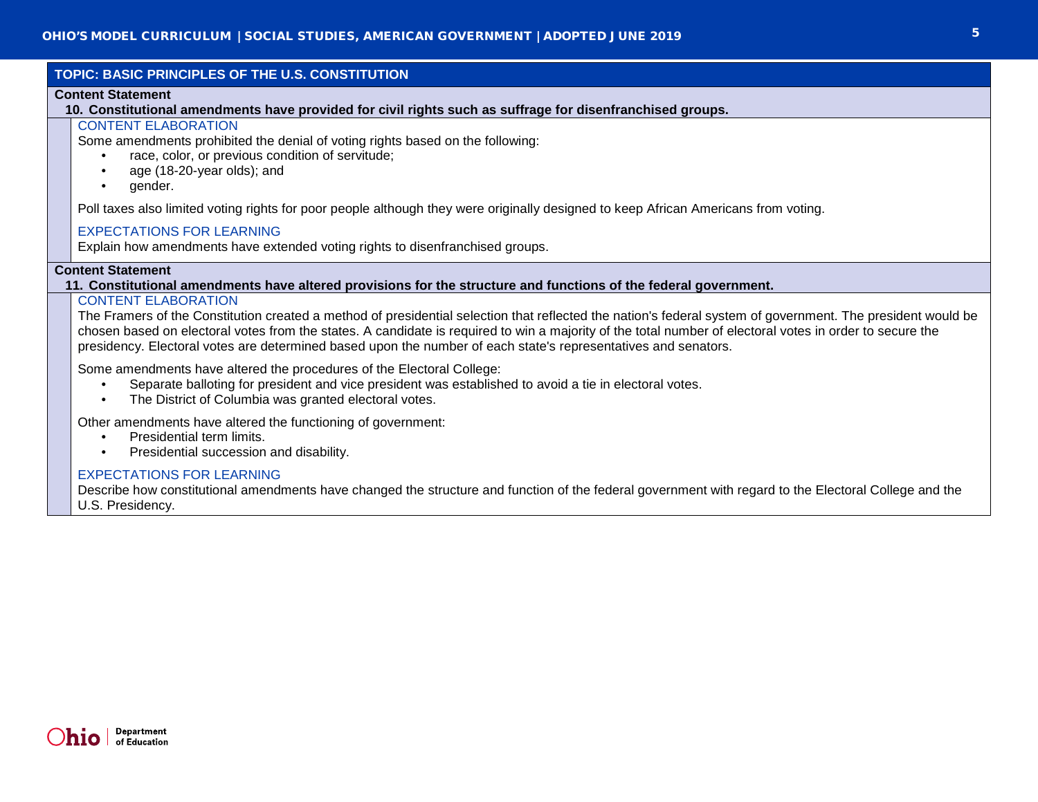| TOPIC: BASIC PRINCIPLES OF THE U.S. CONSTITUTION                                                                                             |                                                                                                                                                                                                                                                                                                                                                                                                                                                                         |  |  |
|----------------------------------------------------------------------------------------------------------------------------------------------|-------------------------------------------------------------------------------------------------------------------------------------------------------------------------------------------------------------------------------------------------------------------------------------------------------------------------------------------------------------------------------------------------------------------------------------------------------------------------|--|--|
| <b>Content Statement</b>                                                                                                                     |                                                                                                                                                                                                                                                                                                                                                                                                                                                                         |  |  |
|                                                                                                                                              | 10. Constitutional amendments have provided for civil rights such as suffrage for disenfranchised groups.                                                                                                                                                                                                                                                                                                                                                               |  |  |
|                                                                                                                                              | <b>CONTENT ELABORATION</b><br>Some amendments prohibited the denial of voting rights based on the following:<br>race, color, or previous condition of servitude;<br>age (18-20-year olds); and<br>$\bullet$<br>gender.<br>$\bullet$                                                                                                                                                                                                                                     |  |  |
|                                                                                                                                              | Poll taxes also limited voting rights for poor people although they were originally designed to keep African Americans from voting.                                                                                                                                                                                                                                                                                                                                     |  |  |
|                                                                                                                                              | <b>EXPECTATIONS FOR LEARNING</b><br>Explain how amendments have extended voting rights to disenfranchised groups.                                                                                                                                                                                                                                                                                                                                                       |  |  |
| <b>Content Statement</b><br>11. Constitutional amendments have altered provisions for the structure and functions of the federal government. |                                                                                                                                                                                                                                                                                                                                                                                                                                                                         |  |  |
|                                                                                                                                              | <b>CONTENT ELABORATION</b><br>The Framers of the Constitution created a method of presidential selection that reflected the nation's federal system of government. The president would be<br>chosen based on electoral votes from the states. A candidate is required to win a majority of the total number of electoral votes in order to secure the<br>presidency. Electoral votes are determined based upon the number of each state's representatives and senators. |  |  |
|                                                                                                                                              | Some amendments have altered the procedures of the Electoral College:<br>Separate balloting for president and vice president was established to avoid a tie in electoral votes.<br>$\bullet$<br>The District of Columbia was granted electoral votes.<br>$\bullet$                                                                                                                                                                                                      |  |  |
|                                                                                                                                              | Other amendments have altered the functioning of government:<br>Presidential term limits.<br>$\bullet$<br>Presidential succession and disability.<br>$\bullet$                                                                                                                                                                                                                                                                                                          |  |  |
|                                                                                                                                              | <b>EXPECTATIONS FOR LEARNING</b><br>Describe how constitutional amendments have changed the structure and function of the federal government with regard to the Electoral College and the<br>U.S. Presidency.                                                                                                                                                                                                                                                           |  |  |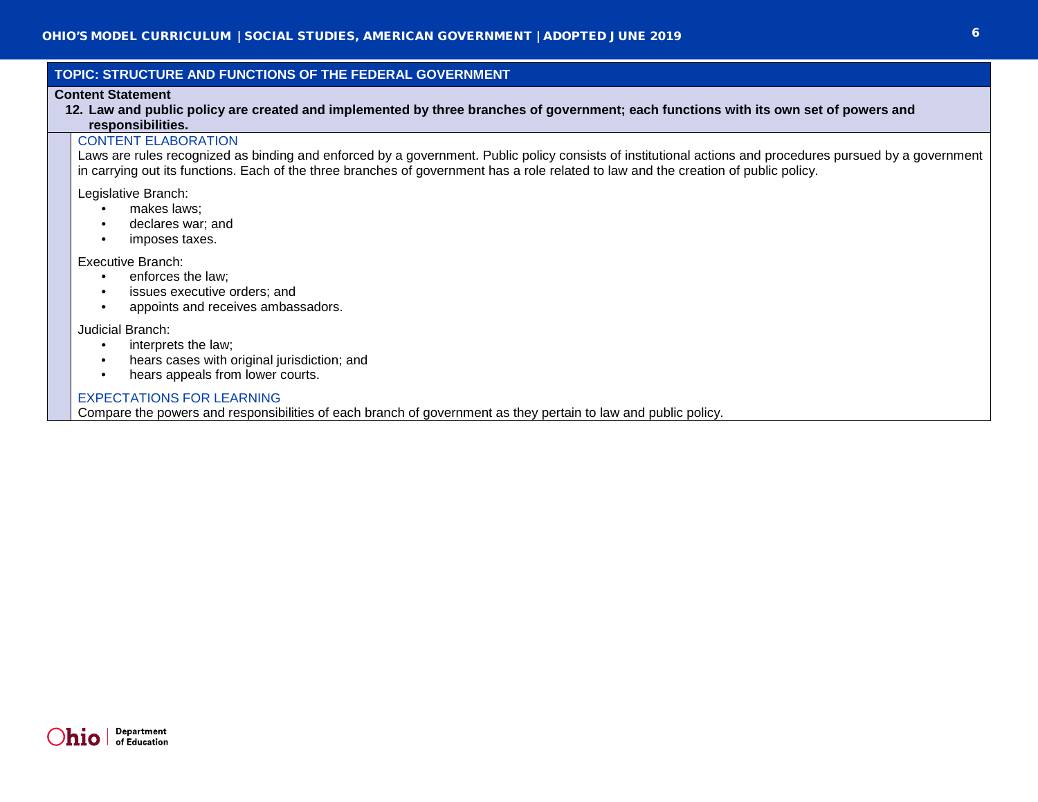# **TOPIC: STRUCTURE AND FUNCTIONS OF THE FEDERAL GOVERNMENT**

#### **Content Statement**

**12. Law and public policy are created and implemented by three branches of government; each functions with its own set of powers and responsibilities.**

# CONTENT ELABORATION

Laws are rules recognized as binding and enforced by a government. Public policy consists of institutional actions and procedures pursued by a government in carrying out its functions. Each of the three branches of government has a role related to law and the creation of public policy.

Legislative Branch:

- makes laws;
- declares war; and
- imposes taxes.

Executive Branch:

- enforces the law:
- issues executive orders; and
- appoints and receives ambassadors.

Judicial Branch:

- interprets the law;
- hears cases with original jurisdiction; and
- hears appeals from lower courts.

#### EXPECTATIONS FOR LEARNING

Compare the powers and responsibilities of each branch of government as they pertain to law and public policy.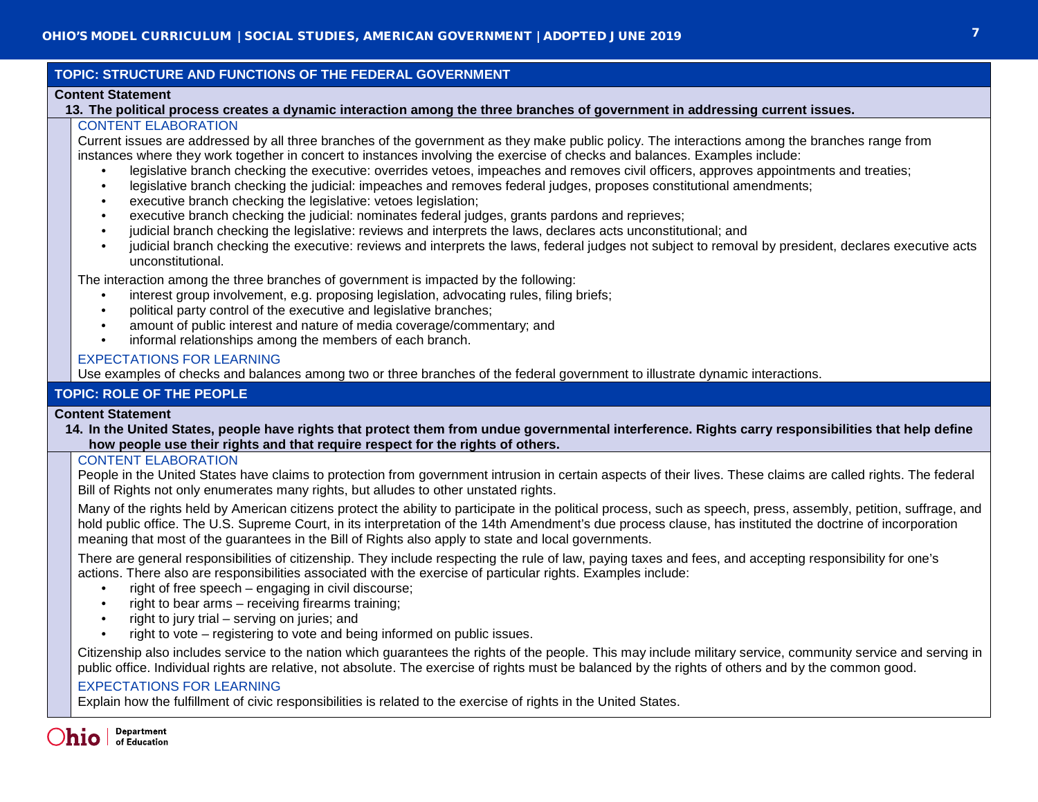# **TOPIC: STRUCTURE AND FUNCTIONS OF THE FEDERAL GOVERNMENT**

## **Content Statement**

## **13. The political process creates a dynamic interaction among the three branches of government in addressing current issues.**

# CONTENT ELABORATION

Current issues are addressed by all three branches of the government as they make public policy. The interactions among the branches range from instances where they work together in concert to instances involving the exercise of checks and balances. Examples include:

- legislative branch checking the executive: overrides vetoes, impeaches and removes civil officers, approves appointments and treaties;
- legislative branch checking the judicial: impeaches and removes federal judges, proposes constitutional amendments;
- executive branch checking the legislative: vetoes legislation;
- executive branch checking the judicial: nominates federal judges, grants pardons and reprieves;
- judicial branch checking the legislative: reviews and interprets the laws, declares acts unconstitutional; and
- judicial branch checking the executive: reviews and interprets the laws, federal judges not subject to removal by president, declares executive acts unconstitutional.

The interaction among the three branches of government is impacted by the following:

- interest group involvement, e.g. proposing legislation, advocating rules, filing briefs;
- political party control of the executive and legislative branches;
- amount of public interest and nature of media coverage/commentary; and
- informal relationships among the members of each branch.

# EXPECTATIONS FOR LEARNING

Use examples of checks and balances among two or three branches of the federal government to illustrate dynamic interactions.

# **TOPIC: ROLE OF THE PEOPLE**

# **Content Statement**

**14. In the United States, people have rights that protect them from undue governmental interference. Rights carry responsibilities that help define how people use their rights and that require respect for the rights of others.**

# CONTENT ELABORATION

People in the United States have claims to protection from government intrusion in certain aspects of their lives. These claims are called rights. The federal Bill of Rights not only enumerates many rights, but alludes to other unstated rights.

Many of the rights held by American citizens protect the ability to participate in the political process, such as speech, press, assembly, petition, suffrage, and hold public office. The U.S. Supreme Court, in its interpretation of the 14th Amendment's due process clause, has instituted the doctrine of incorporation meaning that most of the guarantees in the Bill of Rights also apply to state and local governments.

There are general responsibilities of citizenship. They include respecting the rule of law, paying taxes and fees, and accepting responsibility for one's actions. There also are responsibilities associated with the exercise of particular rights. Examples include:

- right of free speech  $-$  engaging in civil discourse;
- right to bear arms receiving firearms training;
- right to jury trial serving on juries; and
- right to vote registering to vote and being informed on public issues.

Citizenship also includes service to the nation which guarantees the rights of the people. This may include military service, community service and serving in public office. Individual rights are relative, not absolute. The exercise of rights must be balanced by the rights of others and by the common good.

# EXPECTATIONS FOR LEARNING

Explain how the fulfillment of civic responsibilities is related to the exercise of rights in the United States.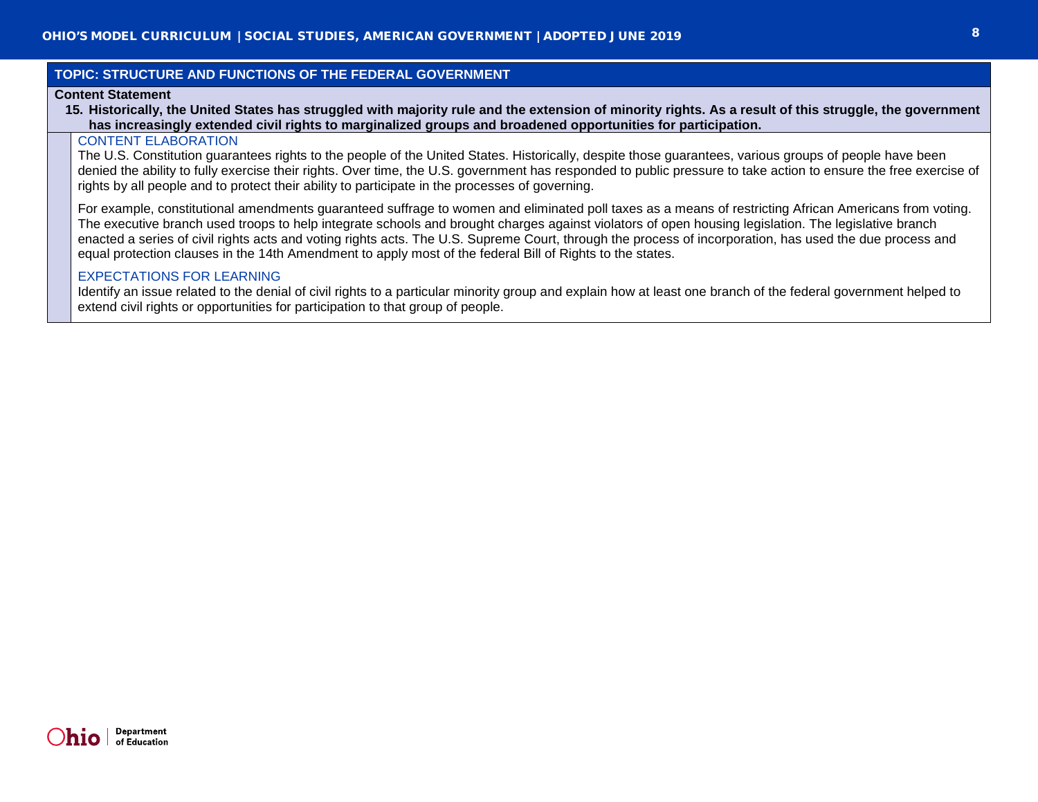# **TOPIC: STRUCTURE AND FUNCTIONS OF THE FEDERAL GOVERNMENT**

#### **Content Statement**

**15. Historically, the United States has struggled with majority rule and the extension of minority rights. As a result of this struggle, the government has increasingly extended civil rights to marginalized groups and broadened opportunities for participation.**

## CONTENT ELABORATION

The U.S. Constitution guarantees rights to the people of the United States. Historically, despite those guarantees, various groups of people have been denied the ability to fully exercise their rights. Over time, the U.S. government has responded to public pressure to take action to ensure the free exercise of rights by all people and to protect their ability to participate in the processes of governing.

For example, constitutional amendments guaranteed suffrage to women and eliminated poll taxes as a means of restricting African Americans from voting. The executive branch used troops to help integrate schools and brought charges against violators of open housing legislation. The legislative branch enacted a series of civil rights acts and voting rights acts. The U.S. Supreme Court, through the process of incorporation, has used the due process and equal protection clauses in the 14th Amendment to apply most of the federal Bill of Rights to the states.

#### EXPECTATIONS FOR LEARNING

Identify an issue related to the denial of civil rights to a particular minority group and explain how at least one branch of the federal government helped to extend civil rights or opportunities for participation to that group of people.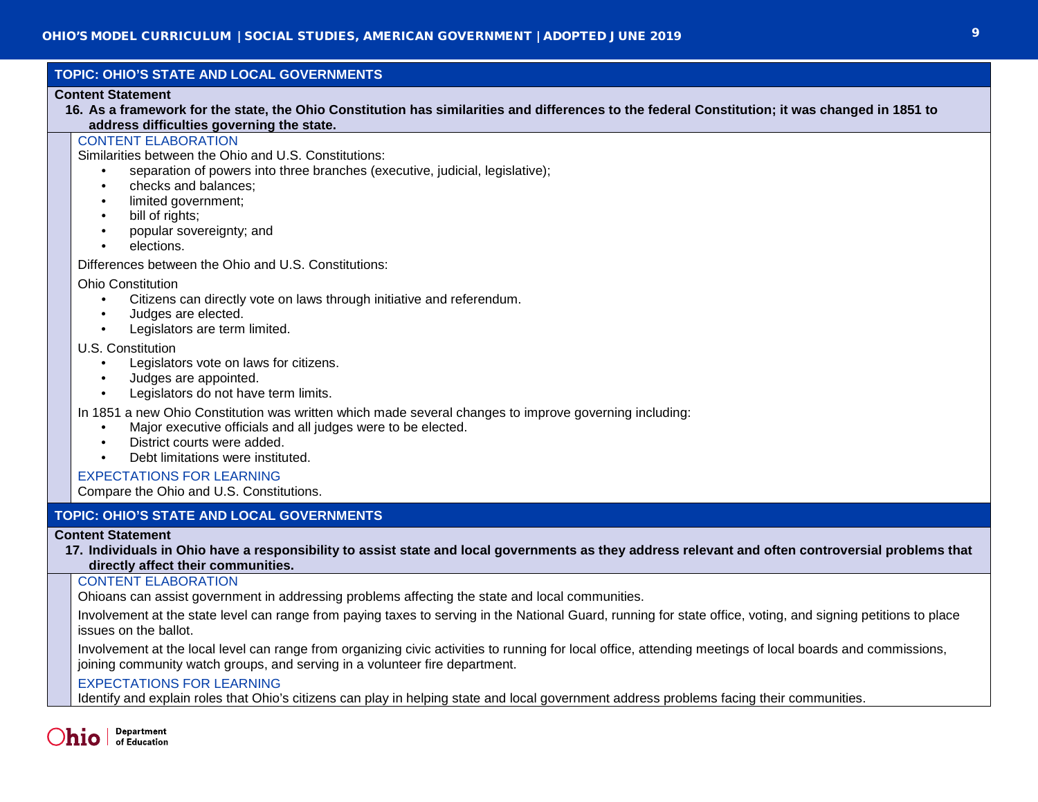# **TOPIC: OHIO'S STATE AND LOCAL GOVERNMENTS**

#### **Content Statement**

**16. As a framework for the state, the Ohio Constitution has similarities and differences to the federal Constitution; it was changed in 1851 to address difficulties governing the state.**

# CONTENT ELABORATION

Similarities between the Ohio and U.S. Constitutions:

- separation of powers into three branches (executive, judicial, legislative);
- checks and balances;
- limited government;
- bill of rights;
- popular sovereignty; and
- elections.

Differences between the Ohio and U.S. Constitutions:

#### Ohio Constitution

- Citizens can directly vote on laws through initiative and referendum.
- Judges are elected.
- Legislators are term limited.

## U.S. Constitution

- Legislators vote on laws for citizens.
- Judges are appointed.
- Legislators do not have term limits.

In 1851 a new Ohio Constitution was written which made several changes to improve governing including:

- Major executive officials and all judges were to be elected.
- District courts were added.
- Debt limitations were instituted.

EXPECTATIONS FOR LEARNING

Compare the Ohio and U.S. Constitutions.

# **TOPIC: OHIO'S STATE AND LOCAL GOVERNMENTS**

#### **Content Statement**

**17. Individuals in Ohio have a responsibility to assist state and local governments as they address relevant and often controversial problems that directly affect their communities.**

# CONTENT ELABORATION

Ohioans can assist government in addressing problems affecting the state and local communities.

Involvement at the state level can range from paying taxes to serving in the National Guard, running for state office, voting, and signing petitions to place issues on the ballot.

Involvement at the local level can range from organizing civic activities to running for local office, attending meetings of local boards and commissions, joining community watch groups, and serving in a volunteer fire department.

# EXPECTATIONS FOR LEARNING

Identify and explain roles that Ohio's citizens can play in helping state and local government address problems facing their communities.

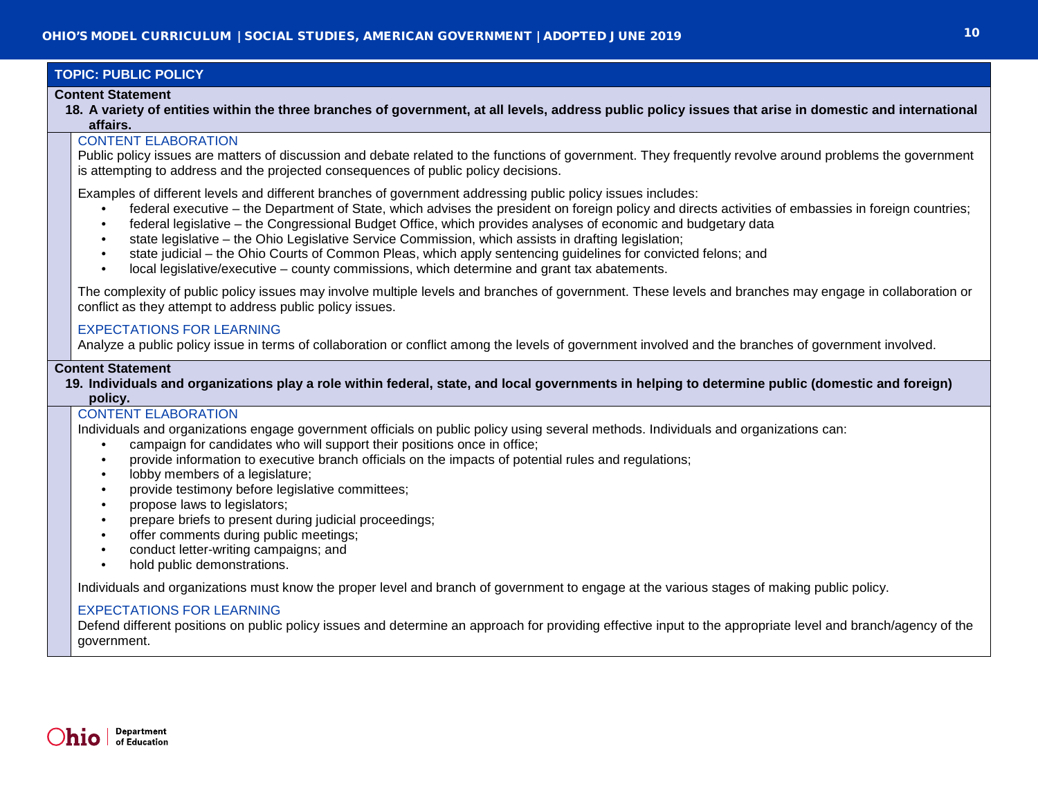# **TOPIC: PUBLIC POLICY**

#### **Content Statement**

**18. A variety of entities within the three branches of government, at all levels, address public policy issues that arise in domestic and international affairs.**

## CONTENT ELABORATION

Public policy issues are matters of discussion and debate related to the functions of government. They frequently revolve around problems the government is attempting to address and the projected consequences of public policy decisions.

Examples of different levels and different branches of government addressing public policy issues includes:

- federal executive the Department of State, which advises the president on foreign policy and directs activities of embassies in foreign countries;
- federal legislative the Congressional Budget Office, which provides analyses of economic and budgetary data
- state legislative the Ohio Legislative Service Commission, which assists in drafting legislation;
- state judicial the Ohio Courts of Common Pleas, which apply sentencing guidelines for convicted felons; and
- local legislative/executive county commissions, which determine and grant tax abatements.

The complexity of public policy issues may involve multiple levels and branches of government. These levels and branches may engage in collaboration or conflict as they attempt to address public policy issues.

## EXPECTATIONS FOR LEARNING

Analyze a public policy issue in terms of collaboration or conflict among the levels of government involved and the branches of government involved.

## **Content Statement**

**19. Individuals and organizations play a role within federal, state, and local governments in helping to determine public (domestic and foreign) policy.**

# CONTENT ELABORATION

Individuals and organizations engage government officials on public policy using several methods. Individuals and organizations can:

- campaign for candidates who will support their positions once in office;
- provide information to executive branch officials on the impacts of potential rules and regulations;
- lobby members of a legislature;
- provide testimony before legislative committees;
- propose laws to legislators;
- prepare briefs to present during judicial proceedings;
- offer comments during public meetings;
- conduct letter-writing campaigns; and
- hold public demonstrations.

Individuals and organizations must know the proper level and branch of government to engage at the various stages of making public policy.

# EXPECTATIONS FOR LEARNING

Defend different positions on public policy issues and determine an approach for providing effective input to the appropriate level and branch/agency of the government.